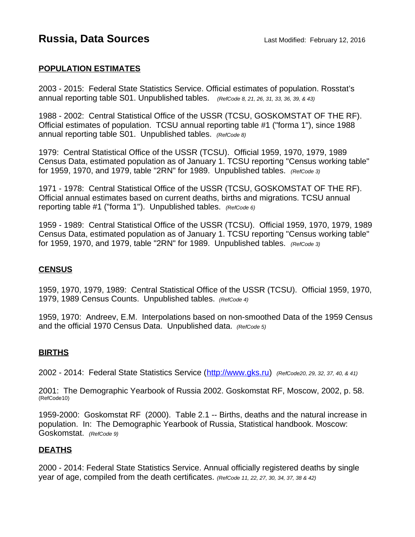# **Russia, Data Sources Last Modified: February 12, 2016**

### **POPULATION ESTIMATES**

2003 - 2015: Federal State Statistics Service. Official estimates of population. Rosstat's annual reporting table S01. Unpublished tables. *(RefCode 8, 21, 26, 31, 33, 36, 39, & 43)*

1988 - 2002: Central Statistical Office of the USSR (TCSU, GOSKOMSTAT OF THE RF). Official estimates of population. TCSU annual reporting table #1 ("forma 1"), since 1988 annual reporting table S01. Unpublished tables. *(RefCode 8)*

1979: Central Statistical Office of the USSR (TCSU). Official 1959, 1970, 1979, 1989 Census Data, estimated population as of January 1. TCSU reporting "Census working table" for 1959, 1970, and 1979, table "2RN" for 1989. Unpublished tables. *(RefCode 3)*

1971 - 1978: Central Statistical Office of the USSR (TCSU, GOSKOMSTAT OF THE RF). Official annual estimates based on current deaths, births and migrations. TCSU annual reporting table #1 ("forma 1"). Unpublished tables. *(RefCode 6)*

1959 - 1989: Central Statistical Office of the USSR (TCSU). Official 1959, 1970, 1979, 1989 Census Data, estimated population as of January 1. TCSU reporting "Census working table" for 1959, 1970, and 1979, table "2RN" for 1989. Unpublished tables. *(RefCode 3)*

#### **CENSUS**

1959, 1970, 1979, 1989: Central Statistical Office of the USSR (TCSU). Official 1959, 1970, 1979, 1989 Census Counts. Unpublished tables. *(RefCode 4)*

1959, 1970: Andreev, E.M. Interpolations based on non-smoothed Data of the 1959 Census and the official 1970 Census Data. Unpublished data. *(RefCode 5)*

#### **BIRTHS**

2002 - 2014: Federal State Statistics Service [\(http://www.gks.ru\)](http://www.gks.ru/) *(RefCode20, 29, 32, 37, 40, & 41)*

2001: The Demographic Yearbook of Russia 2002. Goskomstat RF, Moscow, 2002, p. 58. (RefCode10)

1959-2000: Goskomstat RF (2000). Table 2.1 -- Births, deaths and the natural increase in population. In: The Demographic Yearbook of Russia, Statistical handbook. Moscow: Goskomstat. *(RefCode 9)*

#### **DEATHS**

2000 - 2014: Federal State Statistics Service. Annual officially registered deaths by single year of age, compiled from the death certificates. *(RefCode 11, 22, 27, 30, 34, 37, 38 & 42)*